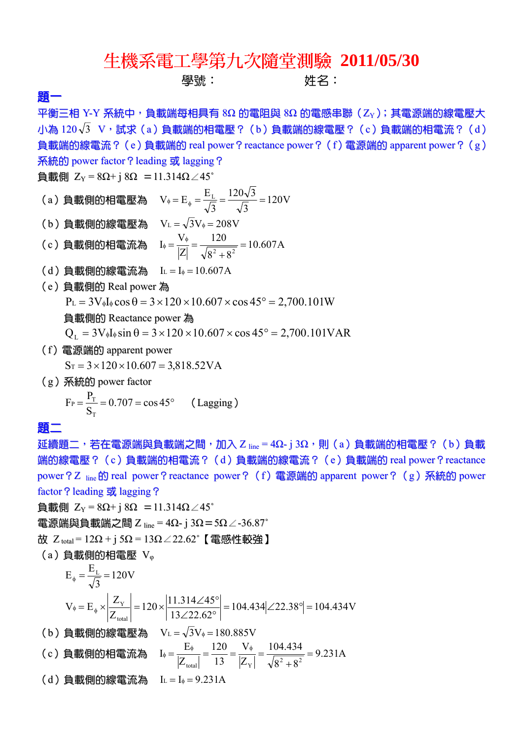## 生機系電工學第九次隨堂測驗 **2011/05/30**  學號: インファンの 姓名: いちのうち はんしゃ

## 題一

平衡三相 Y-Y 系統中,負載端每相具有 8Ω 的電阻與 8Ω 的電感串聯 (Zy);其電源端的線電壓大 小為 $120\sqrt{3}$  V,試求(a)負載端的相電壓?(b)負載端的線電壓?(c)負載端的相電流?(d) 負載端的線電流? (e)負載端的 real power? reactance power? (f) 電源端的 apparent power? (g) **系統的 power factor ? leading 或 lagging ?** 

 $\text{hat}$  Z<sub>Y</sub> = 8Ω+ j 8Ω = 11.314Ω∠45°

- (a)負載側的相電壓為  $V_{\phi} = E_{\phi} = \frac{E_{L}}{E} = \frac{120 V}{E} = 120 V$ 3  $120\sqrt{3}$ 3  $V_{\phi} = E_{\phi} = \frac{E_{L}}{\sqrt{2}} = \frac{120\sqrt{3}}{\sqrt{2}} =$
- (b) 負載側的線電壓為  $V_L = \sqrt{3}V_* = 208V$
- (c)負載側的相電流為  $I_{\phi} = \frac{V_{\phi}}{|\sigma|} = \frac{120}{\sqrt{2.35}} = 10.607 A$  $8^2 + 8$ 120 Z  $I_{\phi} = \frac{V_{\phi}}{|Z|} = \frac{120}{\sqrt{8^2 + 8^2}} =$
- $(d)$  負載側的線電流為  $L = I_{\phi} = 10.607$ A
- (e)負載側的 Real power 為  $P_L = 3V_{\phi}I_{\phi} \cos \theta = 3 \times 120 \times 10.607 \times \cos 45^{\circ} = 2,700.101W$ 
	- 負載側的 Reactance power 為
	- $Q_{\text{L}} = 3V_{\phi}I_{\phi} \sin \theta = 3 \times 120 \times 10.607 \times \cos 45^{\circ} = 2,700.101 \text{VAR}$
- (f)電源端的 apparent power
	- $S_T = 3 \times 120 \times 10.607 = 3.818.52VA$
- (g)系統的 power factor

$$
F_P = \frac{P_T}{S_T} = 0.707 = \cos 45^\circ \quad \text{(Lagging)}
$$

題二

延續題二,若在電源端與負載端之間,加入 Z  $_{\text{line}}$  = 4Ω- j 3Ω,則(a)負載端的相電壓?(b)負載 端的線電壓?(c)負載端的相電流?(d)負載端的線電流?(e)負載端的 real power?reactance power? Z line 的 real power? reactance power? (f) 電源端的 apparent power? (g) 系統的 power factor ? leading 或 lagging ?

負載側 ZY = 8Ω+ j 8Ω =11.314Ω∠45˚

電源端與負載端之間 Z line = 4Ω- j 3Ω=5Ω∠-36.87˚

 $\dot{\alpha}$  Z<sub>total</sub> = 12Ω + j 5Ω = 13Ω∠22.62°【電感性較強】

 $(a)$ 負載側的相電壓  $V_{\varphi}$ 

120V 3 <sup>E</sup> <sup>E</sup> <sup>L</sup> 104.434 22.38 104.434V 13 22.62 11.314 <sup>45</sup> <sup>120</sup> Z <sup>Z</sup> <sup>V</sup> <sup>E</sup> total <sup>Y</sup> (b)負載側的線電壓為 VL 3V 180.885V (c)負載側的相電流為 9.231A 8 8 104.434 Z V 13 120 Z <sup>E</sup> <sup>I</sup> 2 2 total Y (d)負載側的線電流為 A IL I 9.231